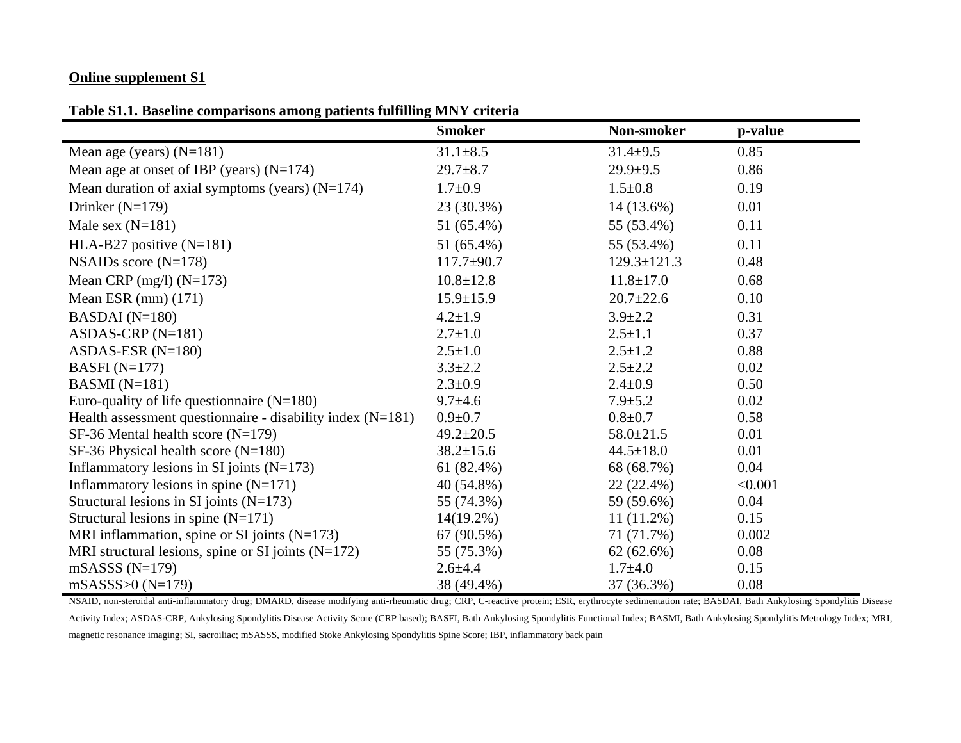## **Online supplement S1**

**Table S1.1. Baseline comparisons among patients fulfilling MNY criteria** 

| parlous among patients rummin                                | <b>Smoker</b>    | Non-smoker        | p-value |
|--------------------------------------------------------------|------------------|-------------------|---------|
| Mean age (years) $(N=181)$                                   | $31.1 \pm 8.5$   | $31.4 \pm 9.5$    | 0.85    |
| Mean age at onset of IBP (years) $(N=174)$                   | $29.7 + 8.7$     | $29.9 \pm 9.5$    | 0.86    |
| Mean duration of axial symptoms (years) $(N=174)$            | $1.7 \pm 0.9$    | $1.5 \pm 0.8$     | 0.19    |
| Drinker $(N=179)$                                            | 23 (30.3%)       | 14 (13.6%)        | 0.01    |
| Male sex $(N=181)$                                           | 51 (65.4%)       | 55 (53.4%)        | 0.11    |
| HLA-B27 positive $(N=181)$                                   | 51 (65.4%)       | 55 (53.4%)        | 0.11    |
| NSAIDs score $(N=178)$                                       | $117.7 \pm 90.7$ | $129.3 \pm 121.3$ | 0.48    |
| Mean CRP (mg/l) $(N=173)$                                    | $10.8 \pm 12.8$  | $11.8 \pm 17.0$   | 0.68    |
| Mean ESR $(mm)$ $(171)$                                      | $15.9 \pm 15.9$  | $20.7 \pm 22.6$   | 0.10    |
| BASDAI $(N=180)$                                             | $4.2 \pm 1.9$    | $3.9 \pm 2.2$     | 0.31    |
| ASDAS-CRP $(N=181)$                                          | $2.7 \pm 1.0$    | $2.5 \pm 1.1$     | 0.37    |
| ASDAS-ESR $(N=180)$                                          | $2.5 \pm 1.0$    | $2.5 \pm 1.2$     | 0.88    |
| BASFI $(N=177)$                                              | $3.3 \pm 2.2$    | $2.5 \pm 2.2$     | 0.02    |
| BASMI $(N=181)$                                              | $2.3 \pm 0.9$    | $2.4 \pm 0.9$     | 0.50    |
| Euro-quality of life questionnaire $(N=180)$                 | $9.7 \pm 4.6$    | $7.9 \pm 5.2$     | 0.02    |
| Health assessment questionnaire - disability index $(N=181)$ | $0.9 + 0.7$      | $0.8 + 0.7$       | 0.58    |
| $SF-36$ Mental health score (N=179)                          | $49.2 \pm 20.5$  | $58.0 \pm 21.5$   | 0.01    |
| SF-36 Physical health score $(N=180)$                        | $38.2 \pm 15.6$  | $44.5 \pm 18.0$   | 0.01    |
| Inflammatory lesions in SI joints $(N=173)$                  | 61 $(82.4\%)$    | 68 (68.7%)        | 0.04    |
| Inflammatory lesions in spine $(N=171)$                      | $40(54.8\%)$     | $22(22.4\%)$      | < 0.001 |
| Structural lesions in SI joints $(N=173)$                    | 55 (74.3%)       | 59 (59.6%)        | 0.04    |
| Structural lesions in spine $(N=171)$                        | $14(19.2\%)$     | $11(11.2\%)$      | 0.15    |
| MRI inflammation, spine or SI joints $(N=173)$               | 67 (90.5%)       | 71 (71.7%)        | 0.002   |
| MRI structural lesions, spine or SI joints $(N=172)$         | 55 (75.3%)       | 62(62.6%)         | 0.08    |
| $mSASSS (N=179)$                                             | $2.6 + 4.4$      | $1.7 + 4.0$       | 0.15    |
| $mSASSS > 0 (N=179)$                                         | 38 (49.4%)       | 37 (36.3%)        | 0.08    |

NSAID, non-steroidal anti-inflammatory drug; DMARD, disease modifying anti-rheumatic drug; CRP, C-reactive protein; ESR, erythrocyte sedimentation rate; BASDAI, Bath Ankylosing Spondylitis Disease Activity Index; ASDAS-CRP, Ankylosing Spondylitis Disease Activity Score (CRP based); BASFI, Bath Ankylosing Spondylitis Functional Index; BASMI, Bath Ankylosing Spondylitis Metrology Index; MRI, magnetic resonance imaging; SI, sacroiliac; mSASSS, modified Stoke Ankylosing Spondylitis Spine Score; IBP, inflammatory back pain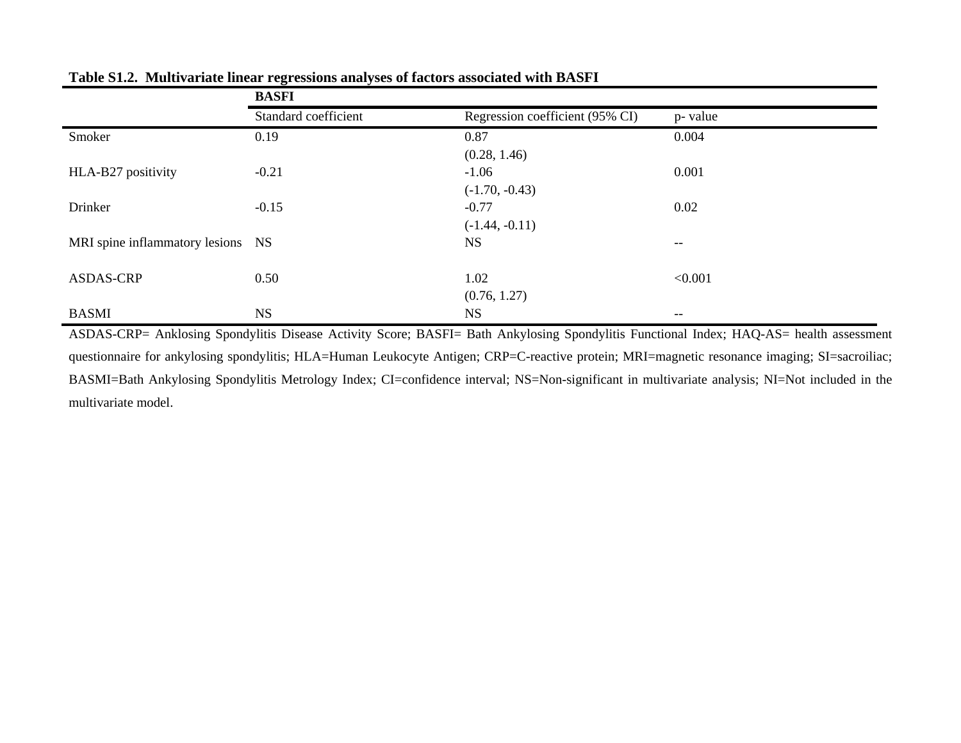|                                   | <b>BASFI</b>         |                                 |                   |
|-----------------------------------|----------------------|---------------------------------|-------------------|
|                                   | Standard coefficient | Regression coefficient (95% CI) | p- value          |
| Smoker                            | 0.19                 | 0.87                            | 0.004             |
|                                   |                      | (0.28, 1.46)                    |                   |
| HLA-B27 positivity                | $-0.21$              | $-1.06$                         | 0.001             |
|                                   |                      | $(-1.70, -0.43)$                |                   |
| Drinker                           | $-0.15$              | $-0.77$                         | 0.02              |
|                                   |                      | $(-1.44, -0.11)$                |                   |
| MRI spine inflammatory lesions NS |                      | <b>NS</b>                       | $\qquad \qquad -$ |
|                                   |                      |                                 |                   |
| <b>ASDAS-CRP</b>                  | 0.50                 | 1.02                            | < 0.001           |
|                                   |                      | (0.76, 1.27)                    |                   |
| <b>BASMI</b>                      | <b>NS</b>            | <b>NS</b>                       | $--$              |

**Table S1.2. Multivariate linear regressions analyses of factors associated with BASFI** 

ASDAS-CRP= Anklosing Spondylitis Disease Activity Score; BASFI= Bath Ankylosing Spondylitis Functional Index; HAQ-AS= health assessment questionnaire for ankylosing spondylitis; HLA=Human Leukocyte Antigen; CRP=C-reactive protein; MRI=magnetic resonance imaging; SI=sacroiliac; BASMI=Bath Ankylosing Spondylitis Metrology Index; CI=confidence interval; NS=Non-significant in multivariate analysis; NI=Not included in the multivariate model.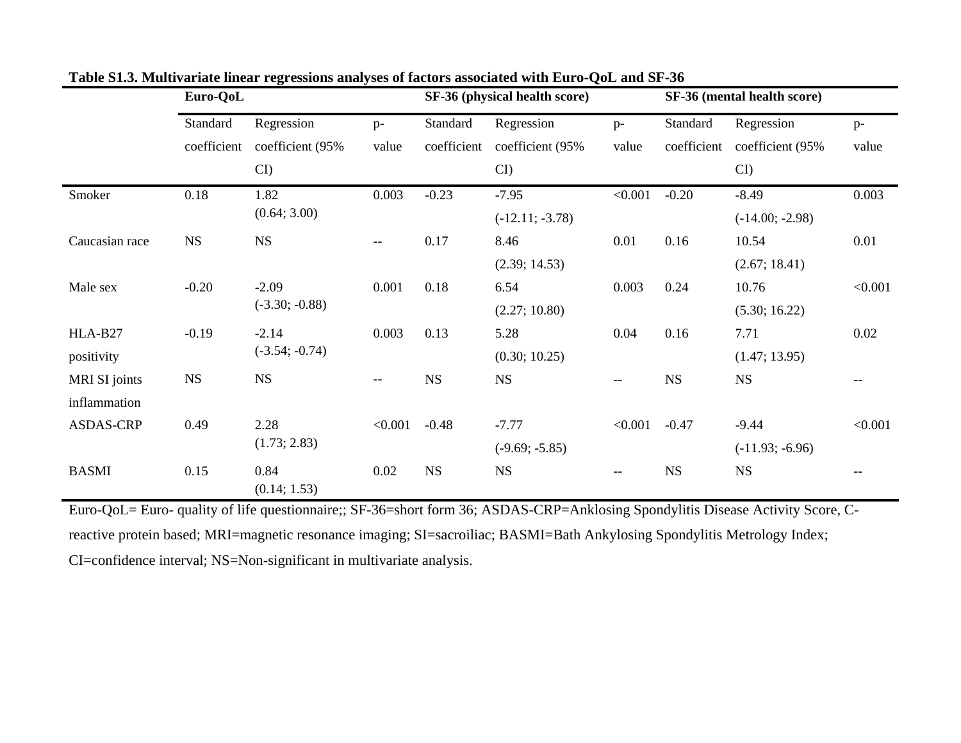|                  | Euro-QoL    |                      |         | SF-36 (physical health score) |                   |                          | SF-36 (mental health score) |                   |         |
|------------------|-------------|----------------------|---------|-------------------------------|-------------------|--------------------------|-----------------------------|-------------------|---------|
|                  | Standard    | Regression           | $p-$    | Standard                      | Regression        | $p-$                     | Standard                    | Regression        | $p-$    |
|                  | coefficient | coefficient (95%     | value   | coefficient                   | coefficient (95%  | value                    | coefficient                 | coefficient (95%  | value   |
|                  |             | $CI$ )               |         |                               | $CI$ )            |                          |                             | $\mathbf{C}$      |         |
| Smoker           | 0.18        | 1.82                 | 0.003   | $-0.23$                       | $-7.95$           | < 0.001                  | $-0.20$                     | $-8.49$           | 0.003   |
|                  |             | (0.64; 3.00)         |         |                               | $(-12.11; -3.78)$ |                          |                             | $(-14.00; -2.98)$ |         |
| Caucasian race   | NS          | <b>NS</b>            | $- -$   | 0.17                          | 8.46              | 0.01                     | 0.16                        | 10.54             | 0.01    |
|                  |             |                      |         |                               | (2.39; 14.53)     |                          |                             | (2.67; 18.41)     |         |
| Male sex         | $-0.20$     | $-2.09$              | 0.001   | 0.18                          | 6.54              | 0.003                    | 0.24                        | 10.76             | < 0.001 |
|                  |             | $(-3.30; -0.88)$     |         |                               | (2.27; 10.80)     |                          |                             | (5.30; 16.22)     |         |
| HLA-B27          | $-0.19$     | $-2.14$              | 0.003   | 0.13                          | 5.28              | 0.04                     | 0.16                        | 7.71              | 0.02    |
| positivity       |             | $(-3.54; -0.74)$     |         |                               | (0.30; 10.25)     |                          |                             | (1.47; 13.95)     |         |
| MRI SI joints    | <b>NS</b>   | <b>NS</b>            | --      | <b>NS</b>                     | <b>NS</b>         | --                       | <b>NS</b>                   | <b>NS</b>         |         |
| inflammation     |             |                      |         |                               |                   |                          |                             |                   |         |
| <b>ASDAS-CRP</b> | 0.49        | 2.28                 | < 0.001 | $-0.48$                       | $-7.77$           | < 0.001                  | $-0.47$                     | $-9.44$           | < 0.001 |
|                  |             | (1.73; 2.83)         |         | $(-9.69; -5.85)$              |                   |                          | $(-11.93; -6.96)$           |                   |         |
| <b>BASMI</b>     | 0.15        | 0.84<br>(0.14; 1.53) | 0.02    | <b>NS</b>                     | <b>NS</b>         | $\overline{\phantom{a}}$ | <b>NS</b>                   | $_{\rm NS}$       |         |

**Table S1.3. Multivariate linear regressions analyses of factors associated with Euro-QoL and SF-36** 

Euro-QoL= Euro- quality of life questionnaire;; SF-36=short form 36; ASDAS-CRP=Anklosing Spondylitis Disease Activity Score, Creactive protein based; MRI=magnetic resonance imaging; SI=sacroiliac; BASMI=Bath Ankylosing Spondylitis Metrology Index; CI=confidence interval; NS=Non-significant in multivariate analysis.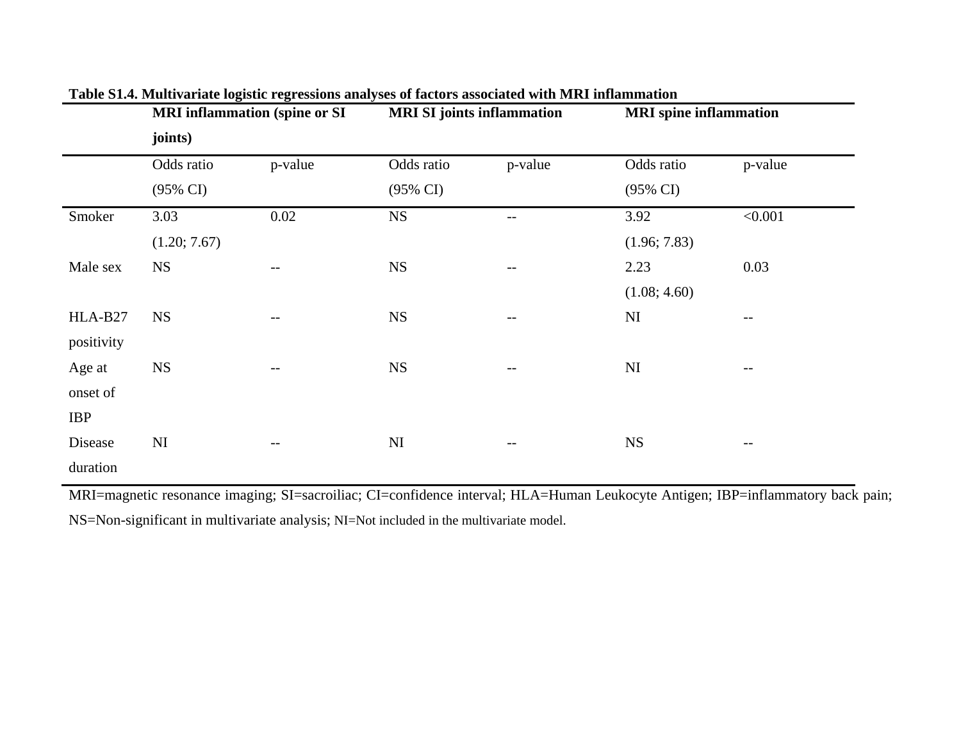|            | <b>MRI</b> inflammation (spine or SI |                   | <b>MRI SI</b> joints inflammation |                          | <b>MRI</b> spine inflammation |                          |  |  |
|------------|--------------------------------------|-------------------|-----------------------------------|--------------------------|-------------------------------|--------------------------|--|--|
|            | joints)                              |                   |                                   |                          |                               |                          |  |  |
|            | Odds ratio                           | p-value           | Odds ratio                        | p-value                  | Odds ratio                    | p-value                  |  |  |
|            | $(95\% \text{ CI})$                  |                   | $(95\% \text{ CI})$               |                          | $(95\% \text{ CI})$           |                          |  |  |
| Smoker     | 3.03                                 | $0.02\,$          | <b>NS</b>                         | $--$                     | 3.92                          | < 0.001                  |  |  |
|            | (1.20; 7.67)                         |                   |                                   |                          | (1.96; 7.83)                  |                          |  |  |
| Male sex   | <b>NS</b>                            | $\qquad \qquad -$ | <b>NS</b>                         | $\overline{\phantom{m}}$ | 2.23                          | 0.03                     |  |  |
|            |                                      |                   |                                   |                          | (1.08; 4.60)                  |                          |  |  |
| HLA-B27    | <b>NS</b>                            | $-\,-$            | <b>NS</b>                         | $-\,-$                   | NI                            | $-\,-$                   |  |  |
| positivity |                                      |                   |                                   |                          |                               |                          |  |  |
| Age at     | <b>NS</b>                            | --                | <b>NS</b>                         | $\qquad \qquad -$        | NI                            | $--$                     |  |  |
| onset of   |                                      |                   |                                   |                          |                               |                          |  |  |
| <b>IBP</b> |                                      |                   |                                   |                          |                               |                          |  |  |
| Disease    | NI                                   | $\qquad \qquad -$ | NI                                | $\qquad \qquad -$        | <b>NS</b>                     | $\overline{\phantom{m}}$ |  |  |
| duration   |                                      |                   |                                   |                          |                               |                          |  |  |
|            |                                      |                   |                                   |                          |                               |                          |  |  |

**Table S1.4. Multivariate logistic regressions analyses of factors associated with MRI inflammation** 

MRI=magnetic resonance imaging; SI=sacroiliac; CI=confidence interval; HLA=Human Leukocyte Antigen; IBP=inflammatory back pain; NS=Non-significant in multivariate analysis; NI=Not included in the multivariate model.